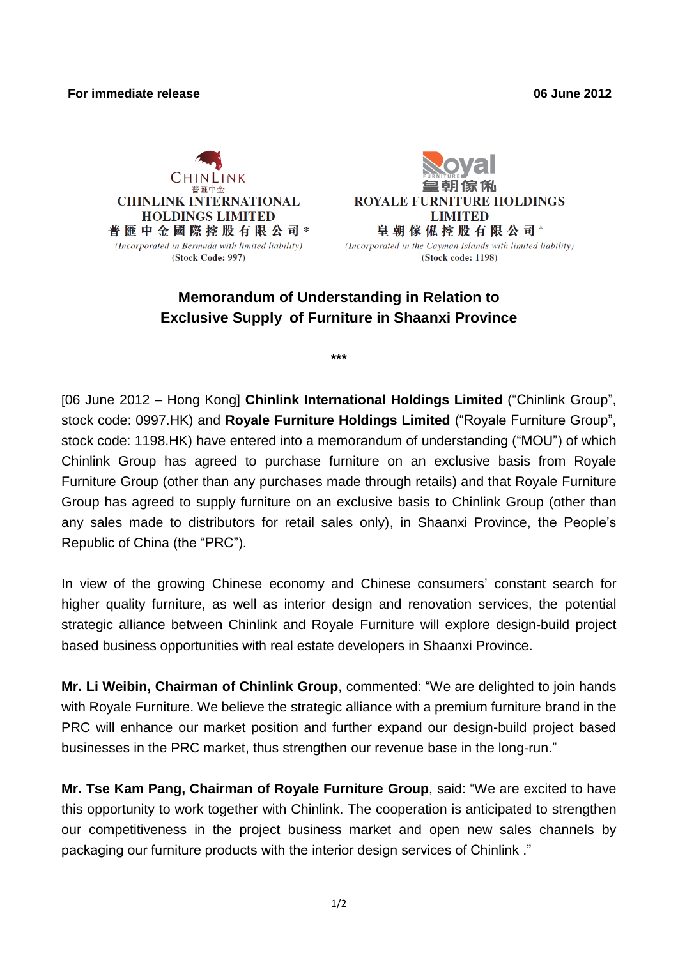#### **For immediate release 06 June 2012**





(Incorporated in the Cayman Islands with limited liability) (Stock code: 1198)

# **Memorandum of Understanding in Relation to Exclusive Supply of Furniture in Shaanxi Province**

**\*\*\***

[06 June 2012 – Hong Kong] **Chinlink International Holdings Limited** ("Chinlink Group", stock code: 0997.HK) and **Royale Furniture Holdings Limited** ("Royale Furniture Group", stock code: 1198.HK) have entered into a memorandum of understanding ("MOU") of which Chinlink Group has agreed to purchase furniture on an exclusive basis from Royale Furniture Group (other than any purchases made through retails) and that Royale Furniture Group has agreed to supply furniture on an exclusive basis to Chinlink Group (other than any sales made to distributors for retail sales only), in Shaanxi Province, the People's Republic of China (the "PRC").

In view of the growing Chinese economy and Chinese consumers' constant search for higher quality furniture, as well as interior design and renovation services, the potential strategic alliance between Chinlink and Royale Furniture will explore design-build project based business opportunities with real estate developers in Shaanxi Province.

**Mr. Li Weibin, Chairman of Chinlink Group**, commented: "We are delighted to join hands with Royale Furniture. We believe the strategic alliance with a premium furniture brand in the PRC will enhance our market position and further expand our design-build project based businesses in the PRC market, thus strengthen our revenue base in the long-run."

**Mr. Tse Kam Pang, Chairman of Royale Furniture Group**, said: "We are excited to have this opportunity to work together with Chinlink. The cooperation is anticipated to strengthen our competitiveness in the project business market and open new sales channels by packaging our furniture products with the interior design services of Chinlink ."